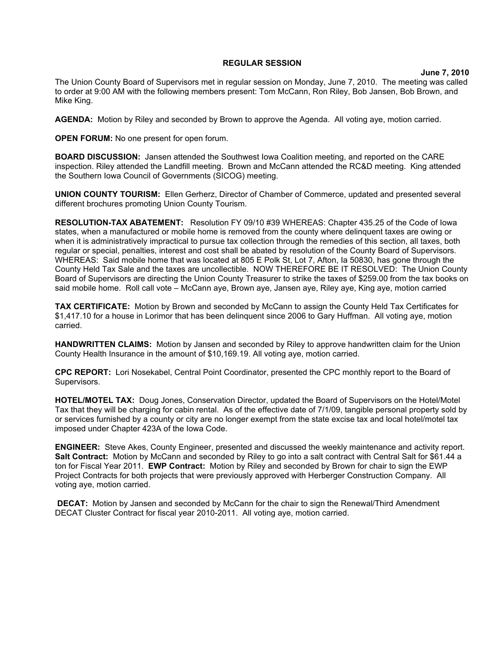## **REGULAR SESSION**

**June 7, 2010**

The Union County Board of Supervisors met in regular session on Monday, June 7, 2010. The meeting was called to order at 9:00 AM with the following members present: Tom McCann, Ron Riley, Bob Jansen, Bob Brown, and Mike King.

**AGENDA:** Motion by Riley and seconded by Brown to approve the Agenda. All voting aye, motion carried.

**OPEN FORUM:** No one present for open forum.

**BOARD DISCUSSION:** Jansen attended the Southwest Iowa Coalition meeting, and reported on the CARE inspection. Riley attended the Landfill meeting. Brown and McCann attended the RC&D meeting. King attended the Southern Iowa Council of Governments (SICOG) meeting.

**UNION COUNTY TOURISM:** Ellen Gerherz, Director of Chamber of Commerce, updated and presented several different brochures promoting Union County Tourism.

**RESOLUTION-TAX ABATEMENT:** Resolution FY 09/10 #39 WHEREAS: Chapter 435.25 of the Code of Iowa states, when a manufactured or mobile home is removed from the county where delinquent taxes are owing or when it is administratively impractical to pursue tax collection through the remedies of this section, all taxes, both regular or special, penalties, interest and cost shall be abated by resolution of the County Board of Supervisors. WHEREAS: Said mobile home that was located at 805 E Polk St, Lot 7, Afton, Ia 50830, has gone through the County Held Tax Sale and the taxes are uncollectible. NOW THEREFORE BE IT RESOLVED: The Union County Board of Supervisors are directing the Union County Treasurer to strike the taxes of \$259.00 from the tax books on said mobile home. Roll call vote – McCann aye, Brown aye, Jansen aye, Riley aye, King aye, motion carried

**TAX CERTIFICATE:** Motion by Brown and seconded by McCann to assign the County Held Tax Certificates for \$1,417.10 for a house in Lorimor that has been delinquent since 2006 to Gary Huffman. All voting aye, motion carried.

**HANDWRITTEN CLAIMS:** Motion by Jansen and seconded by Riley to approve handwritten claim for the Union County Health Insurance in the amount of \$10,169.19. All voting aye, motion carried.

**CPC REPORT:** Lori Nosekabel, Central Point Coordinator, presented the CPC monthly report to the Board of Supervisors.

**HOTEL/MOTEL TAX:** Doug Jones, Conservation Director, updated the Board of Supervisors on the Hotel/Motel Tax that they will be charging for cabin rental. As of the effective date of 7/1/09, tangible personal property sold by or services furnished by a county or city are no longer exempt from the state excise tax and local hotel/motel tax imposed under Chapter 423A of the Iowa Code.

**ENGINEER:** Steve Akes, County Engineer, presented and discussed the weekly maintenance and activity report. Salt Contract: Motion by McCann and seconded by Riley to go into a salt contract with Central Salt for \$61.44 a ton for Fiscal Year 2011. **EWP Contract:** Motion by Riley and seconded by Brown for chair to sign the EWP Project Contracts for both projects that were previously approved with Herberger Construction Company. All voting aye, motion carried.

 **DECAT:** Motion by Jansen and seconded by McCann for the chair to sign the Renewal/Third Amendment DECAT Cluster Contract for fiscal year 2010-2011. All voting aye, motion carried.